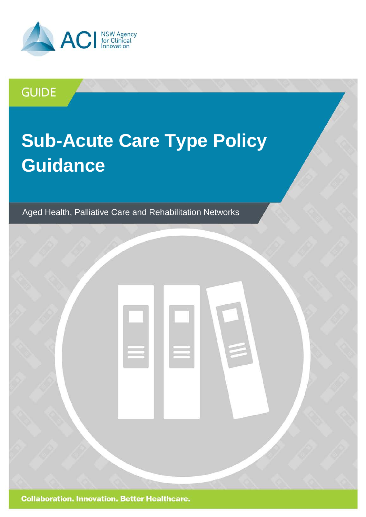

## **GUIDE**

# **Sub-Acute Care Type Policy Guidance**

Aged Health, Palliative Care and Rehabilitation Networks

**Collaboration. Innovation. Better Healthcare.**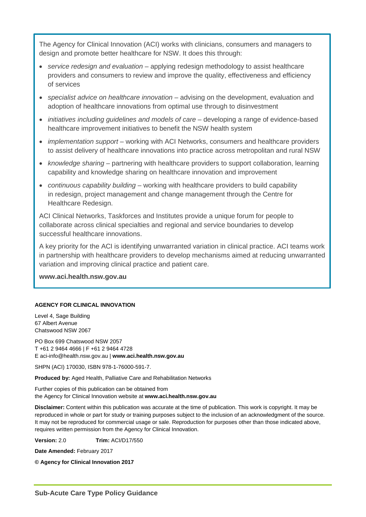The Agency for Clinical Innovation (ACI) works with clinicians, consumers and managers to design and promote better healthcare for NSW. It does this through:

- *service redesign and evaluation* applying redesign methodology to assist healthcare providers and consumers to review and improve the quality, effectiveness and efficiency of services
- *specialist advice on healthcare innovation* advising on the development, evaluation and adoption of healthcare innovations from optimal use through to disinvestment
- *initiatives including guidelines and models of care* developing a range of evidence-based healthcare improvement initiatives to benefit the NSW health system
- *implementation support* working with ACI Networks, consumers and healthcare providers to assist delivery of healthcare innovations into practice across metropolitan and rural NSW
- *knowledge sharing* partnering with healthcare providers to support collaboration, learning capability and knowledge sharing on healthcare innovation and improvement
- *continuous capability building* working with healthcare providers to build capability in redesign, project management and change management through the Centre for Healthcare Redesign.

ACI Clinical Networks, Taskforces and Institutes provide a unique forum for people to collaborate across clinical specialties and regional and service boundaries to develop successful healthcare innovations.

A key priority for the ACI is identifying unwarranted variation in clinical practice. ACI teams work in partnership with healthcare providers to develop mechanisms aimed at reducing unwarranted variation and improving clinical practice and patient care.

**[www.aci.health.nsw.gov.au](http://www.aci.health.nsw.gov.au/)**

#### **AGENCY FOR CLINICAL INNOVATION**

Level 4, Sage Building 67 Albert Avenue Chatswood NSW 2067

PO Box 699 Chatswood NSW 2057 T +61 2 9464 4666 | F +61 2 9464 4728 E aci-info@health.nsw.gov.au | **www.aci.health.nsw.gov.au**

SHPN (ACI) 170030, ISBN 978-1-76000-591-7.

**Produced by:** Aged Health, Palliative Care and Rehabilitation Networks

Further copies of this publication can be obtained from the Agency for Clinical Innovation website at **www.aci.health.nsw.gov.au**

**Disclaimer:** Content within this publication was accurate at the time of publication. This work is copyright. It may be reproduced in whole or part for study or training purposes subject to the inclusion of an acknowledgment of the source. It may not be reproduced for commercial usage or sale. Reproduction for purposes other than those indicated above, requires written permission from the Agency for Clinical Innovation.

**Version:** 2.0 **Trim:** ACI/D17/550

**Date Amended:** February 2017

**© Agency for Clinical Innovation 2017**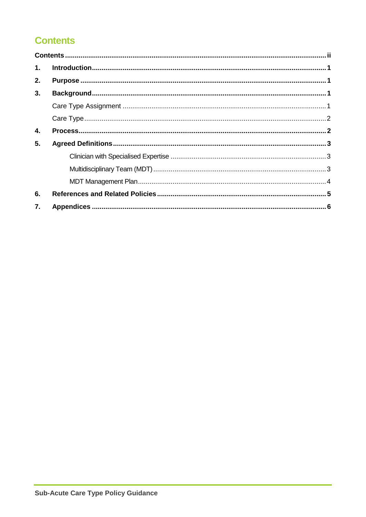### <span id="page-2-0"></span>**Contents**

| 1. |  |  |
|----|--|--|
| 2. |  |  |
| 3. |  |  |
|    |  |  |
|    |  |  |
| 4. |  |  |
| 5. |  |  |
|    |  |  |
|    |  |  |
|    |  |  |
| 6. |  |  |
| 7. |  |  |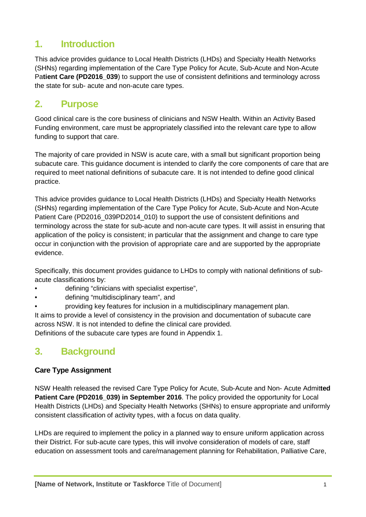### <span id="page-3-0"></span>**1. Introduction**

This advice provides guidance to Local Health Districts (LHDs) and Specialty Health Networks (SHNs) regarding implementation of the Care Type Policy for Acute, Sub-Acute and Non-Acute Pa**tient Care (PD2016\_039**) to support the use of consistent definitions and terminology across the state for sub- acute and non-acute care types.

### <span id="page-3-1"></span>**2. Purpose**

Good clinical care is the core business of clinicians and NSW Health. Within an Activity Based Funding environment, care must be appropriately classified into the relevant care type to allow funding to support that care.

The majority of care provided in NSW is acute care, with a small but significant proportion being subacute care. This guidance document is intended to clarify the core components of care that are required to meet national definitions of subacute care. It is not intended to define good clinical practice.

This advice provides guidance to Local Health Districts (LHDs) and Specialty Health Networks (SHNs) regarding implementation of the Care Type Policy for Acute, Sub-Acute and Non-Acute Patient Care (PD2016\_039PD2014\_010) to support the use of consistent definitions and terminology across the state for sub-acute and non-acute care types. It will assist in ensuring that application of the policy is consistent; in particular that the assignment and change to care type occur in conjunction with the provision of appropriate care and are supported by the appropriate evidence.

Specifically, this document provides guidance to LHDs to comply with national definitions of subacute classifications by:

- defining "clinicians with specialist expertise",
- defining "multidisciplinary team", and
- providing key features for inclusion in a multidisciplinary management plan.

It aims to provide a level of consistency in the provision and documentation of subacute care across NSW. It is not intended to define the clinical care provided.

Definitions of the subacute care types are found in Appendix 1.

### <span id="page-3-2"></span>**3. Background**

### <span id="page-3-3"></span>**Care Type Assignment**

NSW Health released the revised Care Type Policy for Acute, Sub-Acute and Non- Acute Admit**ted**  Patient Care (PD2016\_039) in September 2016. The policy provided the opportunity for Local Health Districts (LHDs) and Specialty Health Networks (SHNs) to ensure appropriate and uniformly consistent classification of activity types, with a focus on data quality.

LHDs are required to implement the policy in a planned way to ensure uniform application across their District. For sub-acute care types, this will involve consideration of models of care, staff education on assessment tools and care/management planning for Rehabilitation, Palliative Care,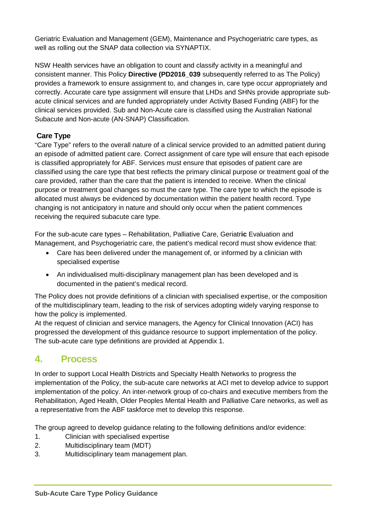Geriatric Evaluation and Management (GEM), Maintenance and Psychogeriatric care types, as well as rolling out the SNAP data collection via SYNAPTIX.

NSW Health services have an obligation to count and classify activity in a meaningful and consistent manner. This Policy **Directive (PD2016\_039** subsequently referred to as The Policy) provides a framework to ensure assignment to, and changes in, care type occur appropriately and correctly. Accurate care type assignment will ensure that LHDs and SHNs provide appropriate subacute clinical services and are funded appropriately under Activity Based Funding (ABF) for the clinical services provided. Sub and Non-Acute care is classified using the Australian National Subacute and Non-acute (AN-SNAP) Classification.

### <span id="page-4-0"></span>**Care Type**

"Care Type" refers to the overall nature of a clinical service provided to an admitted patient during an episode of admitted patient care. Correct assignment of care type will ensure that each episode is classified appropriately for ABF. Services must ensure that episodes of patient care are classified using the care type that best reflects the primary clinical purpose or treatment goal of the care provided, rather than the care that the patient is intended to receive. When the clinical purpose or treatment goal changes so must the care type. The care type to which the episode is allocated must always be evidenced by documentation within the patient health record. Type changing is not anticipatory in nature and should only occur when the patient commences receiving the required subacute care type.

For the sub-acute care types – Rehabilitation, Palliative Care, Geriatr**ic** Evaluation and Management, and Psychogeriatric care, the patient's medical record must show evidence that:

- Care has been delivered under the management of, or informed by a clinician with specialised expertise
- An individualised multi-disciplinary management plan has been developed and is documented in the patient's medical record.

The Policy does not provide definitions of a clinician with specialised expertise, or the composition of the multidisciplinary team, leading to the risk of services adopting widely varying response to how the policy is implemented.

At the request of clinician and service managers, the Agency for Clinical Innovation (ACI) has progressed the development of this guidance resource to support implementation of the policy. The sub-acute care type definitions are provided at Appendix 1.

### <span id="page-4-1"></span>**4. Process**

In order to support Local Health Districts and Specialty Health Networks to progress the implementation of the Policy, the sub-acute care networks at ACI met to develop advice to support implementation of the policy. An inter-network group of co-chairs and executive members from the Rehabilitation, Aged Health, Older Peoples Mental Health and Palliative Care networks, as well as a representative from the ABF taskforce met to develop this response.

The group agreed to develop guidance relating to the following definitions and/or evidence:

- 1. Clinician with specialised expertise
- 2. Multidisciplinary team (MDT)
- 3. Multidisciplinary team management plan.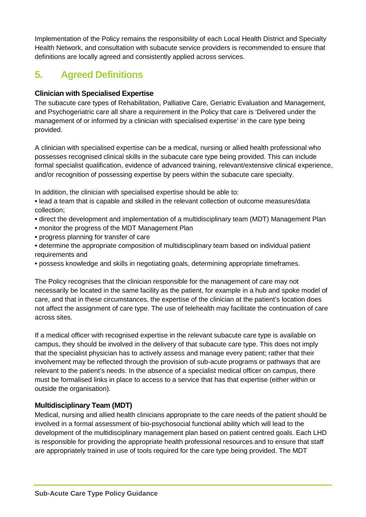Implementation of the Policy remains the responsibility of each Local Health District and Specialty Health Network, and consultation with subacute service providers is recommended to ensure that definitions are locally agreed and consistently applied across services.

### <span id="page-5-0"></span>**5. Agreed Definitions**

### <span id="page-5-1"></span>**Clinician with Specialised Expertise**

The subacute care types of Rehabilitation, Palliative Care, Geriatric Evaluation and Management, and Psychogeriatric care all share a requirement in the Policy that care is 'Delivered under the management of or informed by a clinician with specialised expertise' in the care type being provided.

A clinician with specialised expertise can be a medical, nursing or allied health professional who possesses recognised clinical skills in the subacute care type being provided. This can include formal specialist qualification, evidence of advanced training, relevant/extensive clinical experience, and/or recognition of possessing expertise by peers within the subacute care specialty.

In addition, the clinician with specialised expertise should be able to:

**•** lead a team that is capable and skilled in the relevant collection of outcome measures/data collection;

- direct the development and implementation of a multidisciplinary team (MDT) Management Plan
- monitor the progress of the MDT Management Plan
- progress planning for transfer of care
- determine the appropriate composition of multidisciplinary team based on individual patient requirements and
- possess knowledge and skills in negotiating goals, determining appropriate timeframes.

The Policy recognises that the clinician responsible for the management of care may not necessarily be located in the same facility as the patient, for example in a hub and spoke model of care, and that in these circumstances, the expertise of the clinician at the patient's location does not affect the assignment of care type. The use of telehealth may facilitate the continuation of care across sites.

If a medical officer with recognised expertise in the relevant subacute care type is available on campus, they should be involved in the delivery of that subacute care type. This does not imply that the specialist physician has to actively assess and manage every patient; rather that their involvement may be reflected through the provision of sub-acute programs or pathways that are relevant to the patient's needs. In the absence of a specialist medical officer on campus, there must be formalised links in place to access to a service that has that expertise (either within or outside the organisation).

### <span id="page-5-2"></span>**Multidisciplinary Team (MDT)**

Medical, nursing and allied health clinicians appropriate to the care needs of the patient should be involved in a formal assessment of bio-psychosocial functional ability which will lead to the development of the multidisciplinary management plan based on patient centred goals. Each LHD is responsible for providing the appropriate health professional resources and to ensure that staff are appropriately trained in use of tools required for the care type being provided. The MDT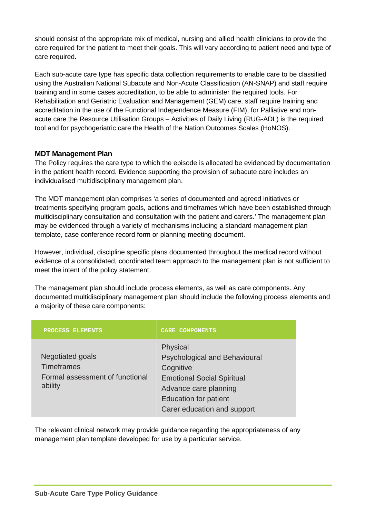should consist of the appropriate mix of medical, nursing and allied health clinicians to provide the care required for the patient to meet their goals. This will vary according to patient need and type of care required.

Each sub-acute care type has specific data collection requirements to enable care to be classified using the Australian National Subacute and Non-Acute Classification (AN-SNAP) and staff require training and in some cases accreditation, to be able to administer the required tools. For Rehabilitation and Geriatric Evaluation and Management (GEM) care, staff require training and accreditation in the use of the Functional Independence Measure (FIM), for Palliative and nonacute care the Resource Utilisation Groups – Activities of Daily Living (RUG-ADL) is the required tool and for psychogeriatric care the Health of the Nation Outcomes Scales (HoNOS).

### <span id="page-6-0"></span>**MDT Management Plan**

The Policy requires the care type to which the episode is allocated be evidenced by documentation in the patient health record. Evidence supporting the provision of subacute care includes an individualised multidisciplinary management plan.

The MDT management plan comprises 'a series of documented and agreed initiatives or treatments specifying program goals, actions and timeframes which have been established through multidisciplinary consultation and consultation with the patient and carers.' The management plan may be evidenced through a variety of mechanisms including a standard management plan template, case conference record form or planning meeting document.

However, individual, discipline specific plans documented throughout the medical record without evidence of a consolidated, coordinated team approach to the management plan is not sufficient to meet the intent of the policy statement.

The management plan should include process elements, as well as care components. Any documented multidisciplinary management plan should include the following process elements and a majority of these care components:

| PROCESS ELEMENTS                                                                    | <b>CARE COMPONENTS</b>                                                                                                                                                                     |
|-------------------------------------------------------------------------------------|--------------------------------------------------------------------------------------------------------------------------------------------------------------------------------------------|
| Negotiated goals<br><b>Timeframes</b><br>Formal assessment of functional<br>ability | Physical<br><b>Psychological and Behavioural</b><br>Cognitive<br><b>Emotional Social Spiritual</b><br>Advance care planning<br><b>Education for patient</b><br>Carer education and support |

The relevant clinical network may provide guidance regarding the appropriateness of any management plan template developed for use by a particular service.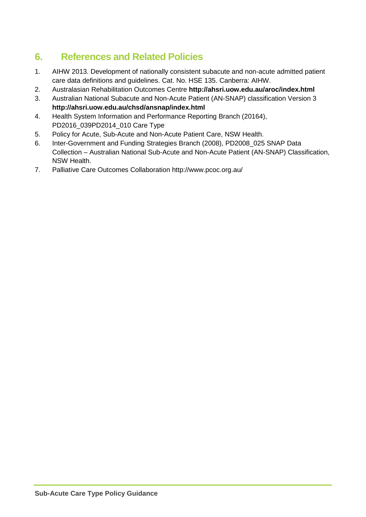### <span id="page-7-0"></span>**6. References and Related Policies**

- 1. AIHW 2013. Development of nationally consistent subacute and non-acute admitted patient care data definitions and guidelines. Cat. No. HSE 135. Canberra: AIHW.
- 2. Australasian Rehabilitation Outcomes Centre **<http://ahsri.uow.edu.au/aroc/index.html>**
- 3. Australian National Subacute and Non-Acute Patient (AN-SNAP) classification Version 3 **<http://ahsri.uow.edu.au/chsd/ansnap/index.html>**
- 4. Health System Information and Performance Reporting Branch (20164), PD2016\_039PD2014\_010 Care Type
- 5. Policy for Acute, Sub-Acute and Non-Acute Patient Care, NSW Health.
- 6. Inter-Government and Funding Strategies Branch (2008), PD2008\_025 SNAP Data Collection – Australian National Sub-Acute and Non-Acute Patient (AN-SNAP) Classification, NSW Health.
- 7. Palliative Care Outcomes Collaboration http://www.pcoc.org.au/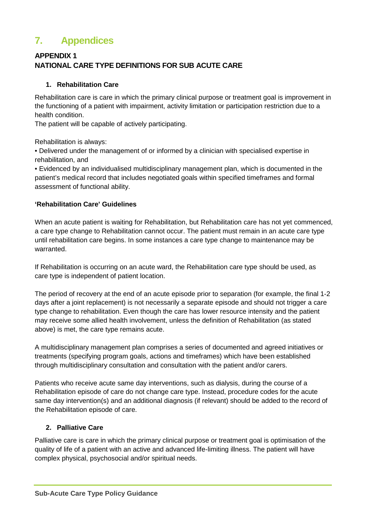### <span id="page-8-0"></span>**7. Appendices**

### **APPENDIX 1 NATIONAL CARE TYPE DEFINITIONS FOR SUB ACUTE CARE**

### **1. Rehabilitation Care**

Rehabilitation care is care in which the primary clinical purpose or treatment goal is improvement in the functioning of a patient with impairment, activity limitation or participation restriction due to a health condition.

The patient will be capable of actively participating.

Rehabilitation is always:

• Delivered under the management of or informed by a clinician with specialised expertise in rehabilitation, and

• Evidenced by an individualised multidisciplinary management plan, which is documented in the patient's medical record that includes negotiated goals within specified timeframes and formal assessment of functional ability.

#### **'Rehabilitation Care' Guidelines**

When an acute patient is waiting for Rehabilitation, but Rehabilitation care has not yet commenced, a care type change to Rehabilitation cannot occur. The patient must remain in an acute care type until rehabilitation care begins. In some instances a care type change to maintenance may be warranted.

If Rehabilitation is occurring on an acute ward, the Rehabilitation care type should be used, as care type is independent of patient location.

The period of recovery at the end of an acute episode prior to separation (for example, the final 1-2 days after a joint replacement) is not necessarily a separate episode and should not trigger a care type change to rehabilitation. Even though the care has lower resource intensity and the patient may receive some allied health involvement, unless the definition of Rehabilitation (as stated above) is met, the care type remains acute.

A multidisciplinary management plan comprises a series of documented and agreed initiatives or treatments (specifying program goals, actions and timeframes) which have been established through multidisciplinary consultation and consultation with the patient and/or carers.

Patients who receive acute same day interventions, such as dialysis, during the course of a Rehabilitation episode of care do not change care type. Instead, procedure codes for the acute same day intervention(s) and an additional diagnosis (if relevant) should be added to the record of the Rehabilitation episode of care.

#### **2. Palliative Care**

Palliative care is care in which the primary clinical purpose or treatment goal is optimisation of the quality of life of a patient with an active and advanced life-limiting illness. The patient will have complex physical, psychosocial and/or spiritual needs.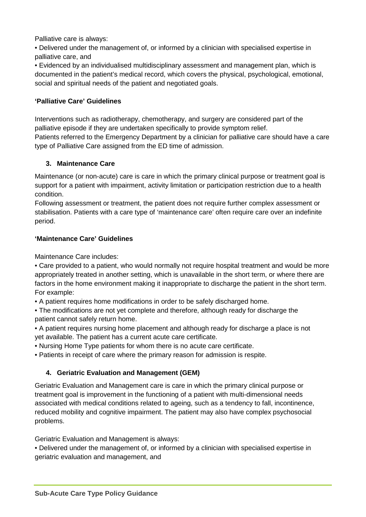Palliative care is always:

• Delivered under the management of, or informed by a clinician with specialised expertise in palliative care, and

• Evidenced by an individualised multidisciplinary assessment and management plan, which is documented in the patient's medical record, which covers the physical, psychological, emotional, social and spiritual needs of the patient and negotiated goals.

#### **'Palliative Care' Guidelines**

Interventions such as radiotherapy, chemotherapy, and surgery are considered part of the palliative episode if they are undertaken specifically to provide symptom relief.

Patients referred to the Emergency Department by a clinician for palliative care should have a care type of Palliative Care assigned from the ED time of admission.

#### **3. Maintenance Care**

Maintenance (or non-acute) care is care in which the primary clinical purpose or treatment goal is support for a patient with impairment, activity limitation or participation restriction due to a health condition.

Following assessment or treatment, the patient does not require further complex assessment or stabilisation. Patients with a care type of 'maintenance care' often require care over an indefinite period.

#### **'Maintenance Care' Guidelines**

Maintenance Care includes:

• Care provided to a patient, who would normally not require hospital treatment and would be more appropriately treated in another setting, which is unavailable in the short term, or where there are factors in the home environment making it inappropriate to discharge the patient in the short term. For example:

• A patient requires home modifications in order to be safely discharged home.

• The modifications are not yet complete and therefore, although ready for discharge the patient cannot safely return home.

• A patient requires nursing home placement and although ready for discharge a place is not yet available. The patient has a current acute care certificate.

• Nursing Home Type patients for whom there is no acute care certificate.

• Patients in receipt of care where the primary reason for admission is respite.

#### **4. Geriatric Evaluation and Management (GEM)**

Geriatric Evaluation and Management care is care in which the primary clinical purpose or treatment goal is improvement in the functioning of a patient with multi-dimensional needs associated with medical conditions related to ageing, such as a tendency to fall, incontinence, reduced mobility and cognitive impairment. The patient may also have complex psychosocial problems.

Geriatric Evaluation and Management is always:

• Delivered under the management of, or informed by a clinician with specialised expertise in geriatric evaluation and management, and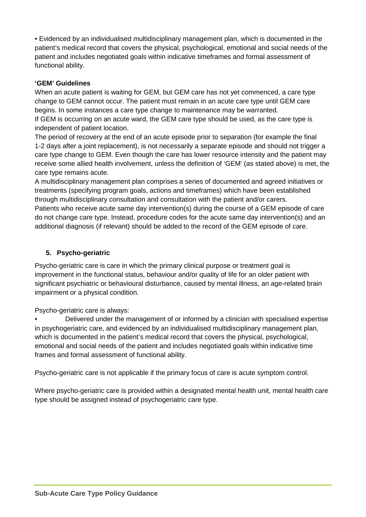• Evidenced by an individualised multidisciplinary management plan, which is documented in the patient's medical record that covers the physical, psychological, emotional and social needs of the patient and includes negotiated goals within indicative timeframes and formal assessment of functional ability.

#### **'GEM' Guidelines**

When an acute patient is waiting for GEM, but GEM care has not yet commenced, a care type change to GEM cannot occur. The patient must remain in an acute care type until GEM care begins. In some instances a care type change to maintenance may be warranted. If GEM is occurring on an acute ward, the GEM care type should be used, as the care type is independent of patient location.

The period of recovery at the end of an acute episode prior to separation (for example the final 1-2 days after a joint replacement), is not necessarily a separate episode and should not trigger a care type change to GEM. Even though the care has lower resource intensity and the patient may receive some allied health involvement, unless the definition of 'GEM' (as stated above) is met, the care type remains acute.

A multidisciplinary management plan comprises a series of documented and agreed initiatives or treatments (specifying program goals, actions and timeframes) which have been established through multidisciplinary consultation and consultation with the patient and/or carers.

Patients who receive acute same day intervention(s) during the course of a GEM episode of care do not change care type. Instead, procedure codes for the acute same day intervention(s) and an additional diagnosis (if relevant) should be added to the record of the GEM episode of care.

### **5. Psycho-geriatric**

Psycho-geriatric care is care in which the primary clinical purpose or treatment goal is improvement in the functional status, behaviour and/or quality of life for an older patient with significant psychiatric or behavioural disturbance, caused by mental illness, an age-related brain impairment or a physical condition.

Psycho-geriatric care is always:

• Delivered under the management of or informed by a clinician with specialised expertise in psychogeriatric care, and evidenced by an individualised multidisciplinary management plan, which is documented in the patient's medical record that covers the physical, psychological, emotional and social needs of the patient and includes negotiated goals within indicative time frames and formal assessment of functional ability.

Psycho-geriatric care is not applicable if the primary focus of care is acute symptom control.

Where psycho-geriatric care is provided within a designated mental health unit, mental health care type should be assigned instead of psychogeriatric care type.